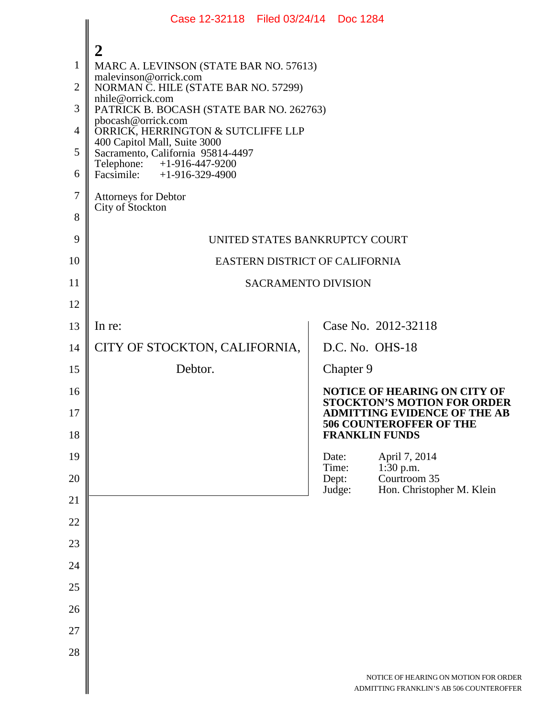|                                                                           | Case 12-32118 Filed 03/24/14 Doc 1284                                                                                                                                                                                                                                                                                                                                                                                                         |  |                          |                                                                                                                                                                             |  |
|---------------------------------------------------------------------------|-----------------------------------------------------------------------------------------------------------------------------------------------------------------------------------------------------------------------------------------------------------------------------------------------------------------------------------------------------------------------------------------------------------------------------------------------|--|--------------------------|-----------------------------------------------------------------------------------------------------------------------------------------------------------------------------|--|
| $\mathbf{1}$<br>$\overline{2}$<br>3<br>$\overline{4}$<br>5<br>6<br>7<br>8 | $\boldsymbol{2}$<br>MARC A. LEVINSON (STATE BAR NO. 57613)<br>malevinson@orrick.com<br>NORMAN C. HILE (STATE BAR NO. 57299)<br>nhile@orrick.com<br>PATRICK B. BOCASH (STATE BAR NO. 262763)<br>pbocash@orrick.com<br>ORRICK, HERRINGTON & SUTCLIFFE LLP<br>400 Capitol Mall, Suite 3000<br>Sacramento, California 95814-4497<br>Telephone: +1-916-447-9200<br>Facsimile: $+1-916-329-4900$<br><b>Attorneys for Debtor</b><br>City of Stockton |  |                          |                                                                                                                                                                             |  |
| 9                                                                         | UNITED STATES BANKRUPTCY COURT                                                                                                                                                                                                                                                                                                                                                                                                                |  |                          |                                                                                                                                                                             |  |
| 10                                                                        | EASTERN DISTRICT OF CALIFORNIA                                                                                                                                                                                                                                                                                                                                                                                                                |  |                          |                                                                                                                                                                             |  |
| 11                                                                        | <b>SACRAMENTO DIVISION</b>                                                                                                                                                                                                                                                                                                                                                                                                                    |  |                          |                                                                                                                                                                             |  |
| 12                                                                        |                                                                                                                                                                                                                                                                                                                                                                                                                                               |  |                          |                                                                                                                                                                             |  |
| 13                                                                        | In re:                                                                                                                                                                                                                                                                                                                                                                                                                                        |  |                          | Case No. 2012-32118                                                                                                                                                         |  |
| 14                                                                        | CITY OF STOCKTON, CALIFORNIA,                                                                                                                                                                                                                                                                                                                                                                                                                 |  |                          | D.C. No. OHS-18                                                                                                                                                             |  |
| 15                                                                        | Debtor.                                                                                                                                                                                                                                                                                                                                                                                                                                       |  | Chapter 9                |                                                                                                                                                                             |  |
| 16<br>17<br>18                                                            |                                                                                                                                                                                                                                                                                                                                                                                                                                               |  |                          | <b>NOTICE OF HEARING ON CITY OF</b><br><b>STOCKTON'S MOTION FOR ORDER</b><br><b>ADMITTING EVIDENCE OF THE AB</b><br><b>506 COUNTEROFFER OF THE</b><br><b>FRANKLIN FUNDS</b> |  |
| 19                                                                        |                                                                                                                                                                                                                                                                                                                                                                                                                                               |  | Date:                    | April 7, 2014                                                                                                                                                               |  |
| 20                                                                        |                                                                                                                                                                                                                                                                                                                                                                                                                                               |  | Time:<br>Dept:<br>Judge: | 1:30 p.m.<br>Courtroom 35<br>Hon. Christopher M. Klein                                                                                                                      |  |
| 21                                                                        |                                                                                                                                                                                                                                                                                                                                                                                                                                               |  |                          |                                                                                                                                                                             |  |
| 22                                                                        |                                                                                                                                                                                                                                                                                                                                                                                                                                               |  |                          |                                                                                                                                                                             |  |
| 23                                                                        |                                                                                                                                                                                                                                                                                                                                                                                                                                               |  |                          |                                                                                                                                                                             |  |
| 24                                                                        |                                                                                                                                                                                                                                                                                                                                                                                                                                               |  |                          |                                                                                                                                                                             |  |
| 25                                                                        |                                                                                                                                                                                                                                                                                                                                                                                                                                               |  |                          |                                                                                                                                                                             |  |
| 26                                                                        |                                                                                                                                                                                                                                                                                                                                                                                                                                               |  |                          |                                                                                                                                                                             |  |
| 27                                                                        |                                                                                                                                                                                                                                                                                                                                                                                                                                               |  |                          |                                                                                                                                                                             |  |
| 28                                                                        |                                                                                                                                                                                                                                                                                                                                                                                                                                               |  |                          |                                                                                                                                                                             |  |
|                                                                           |                                                                                                                                                                                                                                                                                                                                                                                                                                               |  |                          | NOTICE OF HEARING ON MOTION FOR ORDER<br>ADMITTING FRANKLIN'S AB 506 COUNTEROFFER                                                                                           |  |